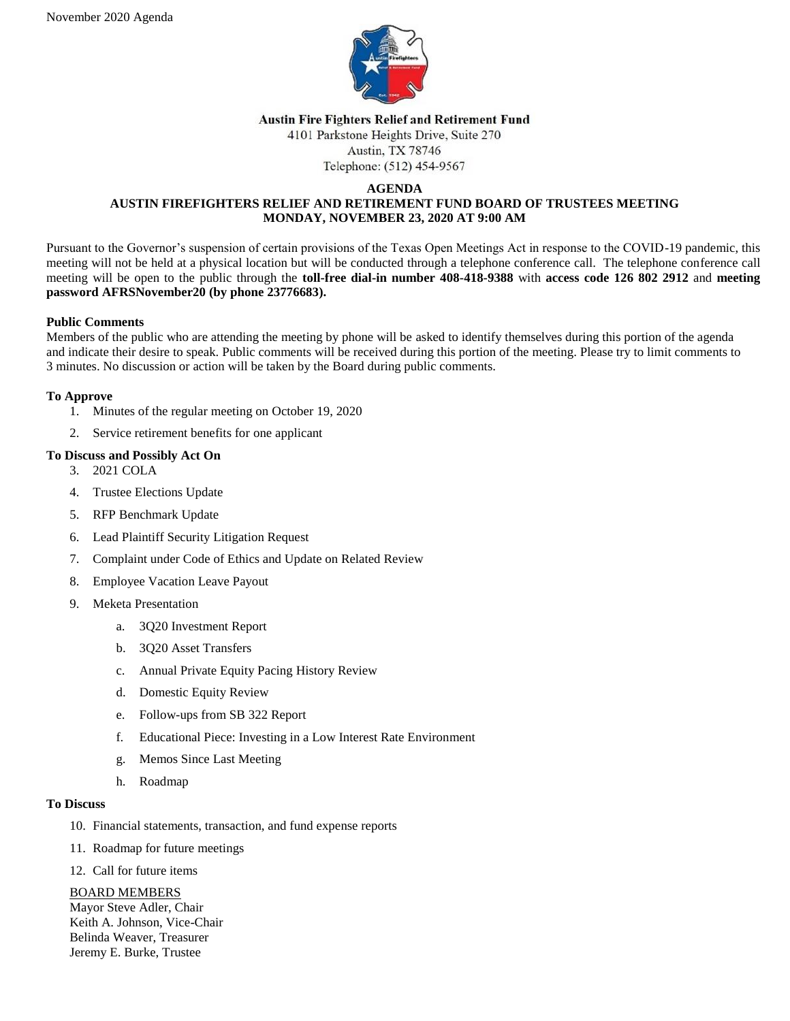

#### **Austin Fire Fighters Relief and Retirement Fund**

4101 Parkstone Heights Drive, Suite 270 Austin, TX 78746

Telephone: (512) 454-9567

#### **AGENDA AUSTIN FIREFIGHTERS RELIEF AND RETIREMENT FUND BOARD OF TRUSTEES MEETING MONDAY, NOVEMBER 23, 2020 AT 9:00 AM**

Pursuant to the Governor's suspension of certain provisions of the Texas Open Meetings Act in response to the COVID-19 pandemic, this meeting will not be held at a physical location but will be conducted through a telephone conference call. The telephone conference call meeting will be open to the public through the **toll-free dial-in number 408-418-9388** with **access code 126 802 2912** and **meeting password AFRSNovember20 (by phone 23776683).**

## **Public Comments**

Members of the public who are attending the meeting by phone will be asked to identify themselves during this portion of the agenda and indicate their desire to speak. Public comments will be received during this portion of the meeting. Please try to limit comments to 3 minutes. No discussion or action will be taken by the Board during public comments.

## **To Approve**

- 1. Minutes of the regular meeting on October 19, 2020
- 2. Service retirement benefits for one applicant

## **To Discuss and Possibly Act On**

- 3. 2021 COLA
- 4. Trustee Elections Update
- 5. RFP Benchmark Update
- 6. Lead Plaintiff Security Litigation Request
- 7. Complaint under Code of Ethics and Update on Related Review
- 8. Employee Vacation Leave Payout
- 9. Meketa Presentation
	- a. 3Q20 Investment Report
	- b. 3Q20 Asset Transfers
	- c. Annual Private Equity Pacing History Review
	- d. Domestic Equity Review
	- e. Follow-ups from SB 322 Report
	- f. Educational Piece: Investing in a Low Interest Rate Environment
	- g. Memos Since Last Meeting
	- h. Roadmap

#### **To Discuss**

- 10. Financial statements, transaction, and fund expense reports
- 11. Roadmap for future meetings
- 12. Call for future items

# BOARD MEMBERS

Mayor Steve Adler, Chair Keith A. Johnson, Vice-Chair Belinda Weaver, Treasurer Jeremy E. Burke, Trustee